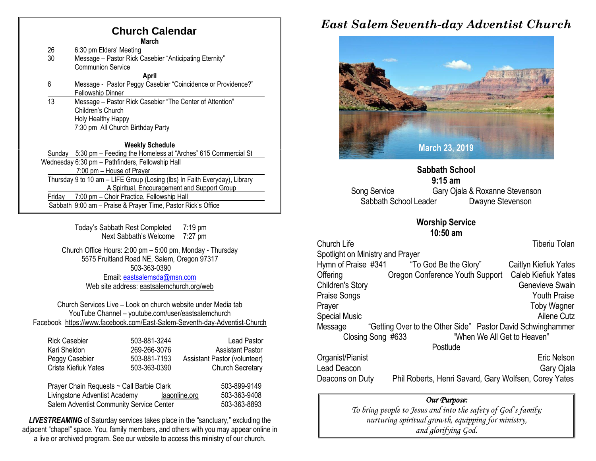### **Church Calendar**

**March**

| 26 | 6:30 pm Elders' Meeting                                |
|----|--------------------------------------------------------|
| 30 | Message - Pastor Rick Casebier "Anticipating Eternity" |
|    | Communion Service                                      |

**April**

- 6 Message Pastor Peggy Casebier "Coincidence or Providence?" Fellowship Dinner
- 13 Message Pastor Rick Casebier "The Center of Attention" Children's Church Holy Healthy Happy 7:30 pm All Church Birthday Party

**Weekly Schedule**

Sunday 5:30 pm – Feeding the Homeless at "Arches" 615 Commercial St Wednesday 6:30 pm – Pathfinders, Fellowship Hall 7:00 pm – House of Prayer Thursday 9 to 10 am – LIFE Group (Losing (lbs) In Faith Everyday), Library A Spiritual, Encouragement and Support Group Friday 7:00 pm – Choir Practice, Fellowship Hall Sabbath 9:00 am – Praise & Prayer Time, Pastor Rick's Office

> Today's Sabbath Rest Completed 7:19 pm Next Sabbath's Welcome 7:27 pm

Church Office Hours: 2:00 pm – 5:00 pm, Monday - Thursday 5575 Fruitland Road NE, Salem, Oregon 97317 503-363-0390 Email: [eastsalemsda@msn.com](mailto:eastsalemsda@msn.com) Web site address[: eastsalemchurch.org/w](http://eastsalem.adventists.info/)eb

Church Services Live – Look on church website under Media tab YouTube Channel – youtube.com/user/eastsalemchurch Facebook [https://www.facebook.com/East-Salem-Seventh-day-Adventist-Church](https://www.facebook.com/East-Salem-Seventh-day-Adventist-Church-111402832212994/?fref=ts)

| <b>Rick Casebier</b><br>Kari Sheldon<br>Peggy Casebier<br>Crista Kiefiuk Yates | 503-881-3244<br>269-266-3076<br>503-881-7193<br>503-363-0390 | <b>Lead Pastor</b><br><b>Assistant Pastor</b><br>Assistant Pastor (volunteer)<br><b>Church Secretary</b> |
|--------------------------------------------------------------------------------|--------------------------------------------------------------|----------------------------------------------------------------------------------------------------------|
| Prayer Chain Requests ~ Call Barbie Clark                                      |                                                              | 503-899-9149                                                                                             |
| Livingstone Adventist Academy                                                  |                                                              | 503-363-9408<br>laaonline.org                                                                            |
| Salem Adventist Community Service Center                                       | 503-363-8893                                                 |                                                                                                          |

**LIVESTREAMING** of Saturday services takes place in the "sanctuary," excluding the adjacent "chapel" space. You, family members, and others with you may appear online in a live or archived program. See our website to access this ministry of our church.

## *East Salem Seventh-day Adventist Church*



**Sabbath School 9:15 am** Song Service Gary Ojala & Roxanne Stevenson Sabbath School Leader Dwayne Stevenson

#### **Worship Service 10:50 am**

Church Life **Tiberiu Tolan** Spotlight on Ministry and Prayer Hymn of Praise #341 "To God Be the Glory" Caitlyn Kiefiuk Yates Offering Oregon Conference Youth Support Caleb Kiefiuk Yates Children's Story **Genevieve Swain** Praise Songs **Youth Praise** Prayer Toby Wagner Special Music **Ailene Cutz Ailene Cutz** Message "Getting Over to the Other Side" Pastor David Schwinghammer<br>Closing Song #633 "When We All Get to Heaven" "When We All Get to Heaven" Postlude

Organist/Pianist Eric Nelson Lead Deacon Gary Ojala Deacons on Duty Phil Roberts, Henri Savard, Gary Wolfsen, Corey Yates

#### *Our Purpose:*

*To bring people to Jesus and into the safety of God's family; nurturing spiritual growth, equipping for ministry, and glorifying God.*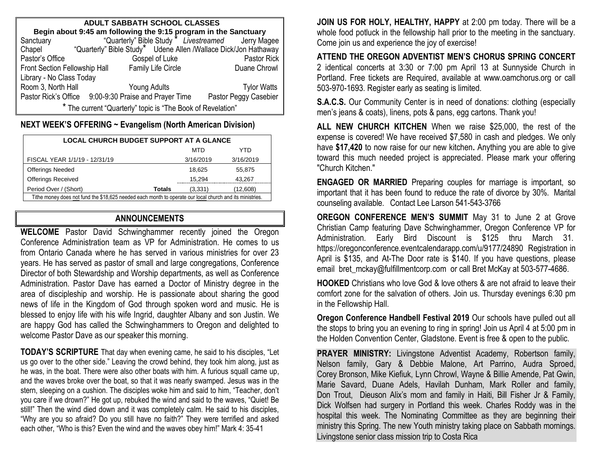| <b>ADULT SABBATH SCHOOL CLASSES</b>                                 |                                                       |                                                                 |  |  |  |  |  |  |
|---------------------------------------------------------------------|-------------------------------------------------------|-----------------------------------------------------------------|--|--|--|--|--|--|
| Begin about 9:45 am following the 9:15 program in the Sanctuary     |                                                       |                                                                 |  |  |  |  |  |  |
| Sanctuary                                                           |                                                       | "Quarterly" Bible Study * Livestreamed Jerry Magee              |  |  |  |  |  |  |
| Chapel                                                              |                                                       | "Quarterly" Bible Study* Udene Allen /Wallace Dick/Jon Hathaway |  |  |  |  |  |  |
| Pastor's Office                                                     | Pastor Rick<br>Gospel of Luke                         |                                                                 |  |  |  |  |  |  |
| Family Life Circle<br>Duane Chrowl<br>Front Section Fellowship Hall |                                                       |                                                                 |  |  |  |  |  |  |
| Library - No Class Today                                            |                                                       |                                                                 |  |  |  |  |  |  |
| Room 3, North Hall                                                  | Young Adults                                          | <b>Tylor Watts</b>                                              |  |  |  |  |  |  |
|                                                                     | Pastor Rick's Office 9:00-9:30 Praise and Prayer Time | Pastor Peggy Casebier                                           |  |  |  |  |  |  |
| * The current "Quarterly" topic is "The Book of Revelation"         |                                                       |                                                                 |  |  |  |  |  |  |

#### **NEXT WEEK'S OFFERING ~ Evangelism (North American Division)**

| <b>LOCAL CHURCH BUDGET SUPPORT AT A GLANCE</b>                                                           |               |           |           |  |  |  |
|----------------------------------------------------------------------------------------------------------|---------------|-----------|-----------|--|--|--|
|                                                                                                          |               | MTD       | YTD       |  |  |  |
| FISCAL YEAR 1/1/19 - 12/31/19                                                                            |               | 3/16/2019 | 3/16/2019 |  |  |  |
| <b>Offerings Needed</b>                                                                                  |               | 18.625    | 55.875    |  |  |  |
| <b>Offerings Received</b>                                                                                |               | 15,294    | 43,267    |  |  |  |
| Period Over / (Short)                                                                                    | <b>Totals</b> | (3,331)   | (12,608)  |  |  |  |
| Tithe money does not fund the \$18,625 needed each month to operate our local church and its ministries. |               |           |           |  |  |  |

#### **ANNOUNCEMENTS**

**WELCOME** Pastor David Schwinghammer recently joined the Oregon Conference Administration team as VP for Administration. He comes to us from Ontario Canada where he has served in various ministries for over 23 years. He has served as pastor of small and large congregations, Conference Director of both Stewardship and Worship departments, as well as Conference Administration. Pastor Dave has earned a Doctor of Ministry degree in the area of discipleship and worship. He is passionate about sharing the good news of life in the Kingdom of God through spoken word and music. He is blessed to enjoy life with his wife Ingrid, daughter Albany and son Justin. We are happy God has called the Schwinghammers to Oregon and delighted to welcome Pastor Dave as our speaker this morning.

**TODAY'S SCRIPTURE** That day when evening came, he said to his disciples, "Let us go over to the other side." Leaving the crowd behind, they took him along, just as he was, in the boat. There were also other boats with him. A furious squall came up, and the waves broke over the boat, so that it was nearly swamped. Jesus was in the stern, sleeping on a cushion. The disciples woke him and said to him, "Teacher, don't you care if we drown?" He got up, rebuked the wind and said to the waves, "Quiet! Be still!" Then the wind died down and it was completely calm. He said to his disciples, "Why are you so afraid? Do you still have no faith?" They were terrified and asked each other, "Who is this? Even the wind and the waves obey him!" Mark 4: 35-41

**JOIN US FOR HOLY, HEALTHY, HAPPY** at 2:00 pm today. There will be a whole food potluck in the fellowship hall prior to the meeting in the sanctuary. Come join us and experience the joy of exercise!

**ATTEND THE OREGON ADVENTIST MEN'S CHORUS SPRING CONCERT**  2 identical concerts at 3:30 or 7:00 pm April 13 at Sunnyside Church in Portland. Free tickets are Required, available at [www.oamchorus.org](http://www.oamchorus.org/) or call 503-970-1693. Register early as seating is limited.

**S.A.C.S.** Our Community Center is in need of donations: clothing (especially men's jeans & coats), linens, pots & pans, egg cartons. Thank you!

**ALL NEW CHURCH KITCHEN** When we raise \$25,000, the rest of the expense is covered! We have received \$7,580 in cash and pledges. We only have **\$17,420** to now raise for our new kitchen**.** Anything you are able to give toward this much needed project is appreciated. Please mark your offering "Church Kitchen."

**ENGAGED OR MARRIED** Preparing couples for marriage is important, so important that it has been found to reduce the rate of divorce by 30%. Marital counseling available. Contact Lee Larson 541-543-3766

**OREGON CONFERENCE MEN'S SUMMIT** May 31 to June 2 at Grove Christian Camp featuring Dave Schwinghammer, Oregon Conference VP for Administration. Early Bird Discount is \$125 thru March 31. [https://oregonconference.eventcalendarapp.com/u/9177/24890](https://nam03.safelinks.protection.outlook.com/?url=https%3A%2F%2Foregonconference.eventcalendarapp.com%2Fu%2F9177%2F24890&data=02%7C01%7CJane.Nicola%40oc.npuc.org%7Ceea7128a3fa44f0a249008d6a3e2367e%7C1fe84723e891492d921c072fd09ba33f%7C0%7C0%7C636876589326983967&sdata=Hy3iFbDHMGUioRE9ztCn63qlYw2o1FGTNWZPQ%2FS%2FrDw%3D&reserved=0) Registration in April is \$135, and At-The Door rate is \$140. If you have questions, please email bret mckay@fulfillmentcorp.com or call Bret McKay at 503-577-4686.

**HOOKED** Christians who love God & love others & are not afraid to leave their comfort zone for the salvation of others. Join us. Thursday evenings 6:30 pm in the Fellowship Hall.

**Oregon Conference Handbell Festival 2019** Our schools have pulled out all the stops to bring you an evening to ring in spring! Join us April 4 at 5:00 pm in the Holden Convention Center, Gladstone. Event is free & open to the public.

**PRAYER MINISTRY:** Livingstone Adventist Academy, Robertson family, Nelson family, Gary & Debbie Malone, Art Parrino, Audra Sproed, Corey Bronson, Mike Kiefiuk, Lynn Chrowl, Wayne & Billie Amende, Pat Gwin, Marie Savard, Duane Adels, Havilah Dunham, Mark Roller and family, Don Trout, Dieuson Alix's mom and family in Haiti, Bill Fisher Jr & Family, Dick Wolfsen had surgery in Portland this week. Charles Roddy was in the hospital this week. The Nominating Committee as they are beginning their ministry this Spring. The new Youth ministry taking place on Sabbath mornings. Livingstone senior class mission trip to Costa Rica